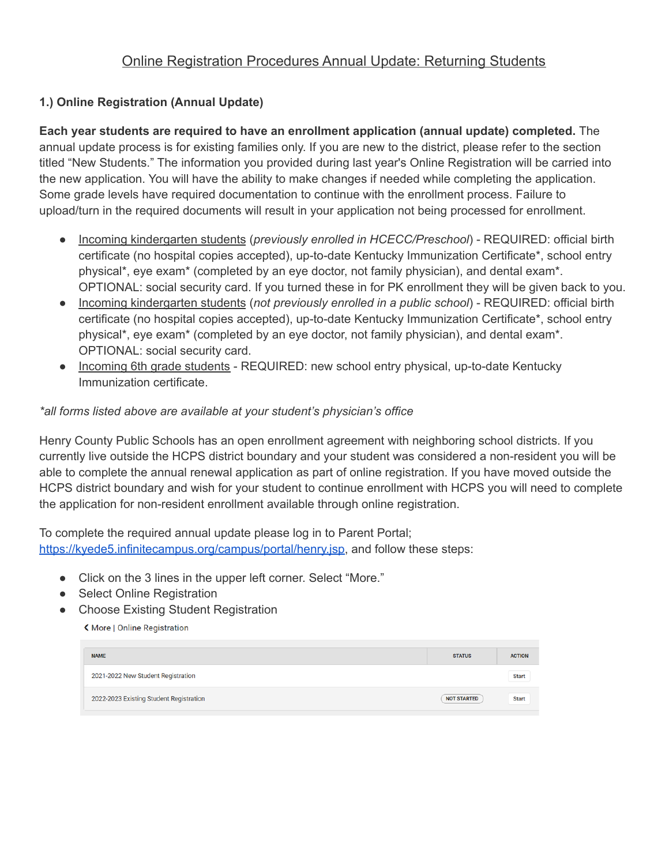## **1.) Online Registration (Annual Update)**

**Each year students are required to have an enrollment application (annual update) completed.** The annual update process is for existing families only. If you are new to the district, please refer to the section titled "New Students." The information you provided during last year's Online Registration will be carried into the new application. You will have the ability to make changes if needed while completing the application. Some grade levels have required documentation to continue with the enrollment process. Failure to upload/turn in the required documents will result in your application not being processed for enrollment.

- Incoming kindergarten students (*previously enrolled in HCECC/Preschool*) REQUIRED: official birth certificate (no hospital copies accepted), up-to-date Kentucky Immunization Certificate\*, school entry physical\*, eye exam\* (completed by an eye doctor, not family physician), and dental exam\*. OPTIONAL: social security card. If you turned these in for PK enrollment they will be given back to you.
- Incoming kindergarten students (*not previously enrolled in a public school*) REQUIRED: official birth certificate (no hospital copies accepted), up-to-date Kentucky Immunization Certificate\*, school entry physical\*, eye exam\* (completed by an eye doctor, not family physician), and dental exam\*. OPTIONAL: social security card.
- Incoming 6th grade students REQUIRED: new school entry physical, up-to-date Kentucky Immunization certificate.

## *\*all forms listed above are available at your student's physician's office*

Henry County Public Schools has an open enrollment agreement with neighboring school districts. If you currently live outside the HCPS district boundary and your student was considered a non-resident you will be able to complete the annual renewal application as part of online registration. If you have moved outside the HCPS district boundary and wish for your student to continue enrollment with HCPS you will need to complete the application for non-resident enrollment available through online registration.

To complete the required annual update please log in to Parent Portal; [https://kyede5.infinitecampus.org/campus/portal/henry.jsp,](https://kyede5.infinitecampus.org/campus/portal/henry.jsp) and follow these steps:

- Click on the 3 lines in the upper left corner. Select "More."
- Select Online Registration
- Choose Existing Student Registration

K More | Online Registration

| <b>NAME</b>                             | <b>STATUS</b>      | <b>ACTION</b> |
|-----------------------------------------|--------------------|---------------|
| 2021-2022 New Student Registration      |                    | <b>Start</b>  |
| 2022-2023 Existing Student Registration | <b>NOT STARTED</b> | <b>Start</b>  |